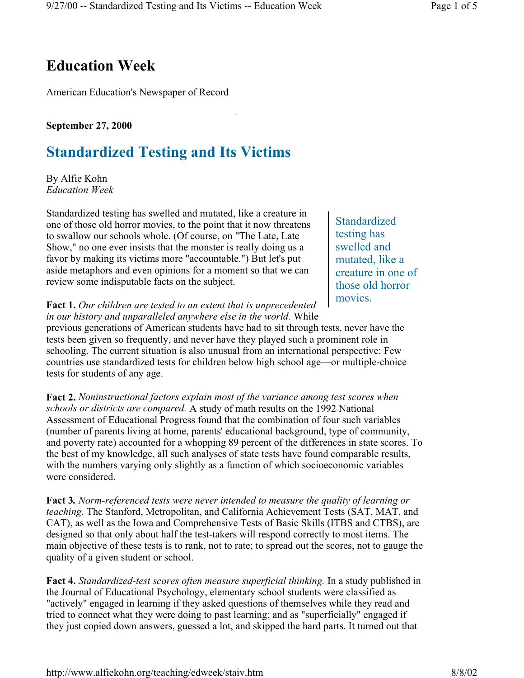# **Education Week**

American Education's Newspaper of Record

## **September 27, 2000**

# **Standardized Testing and Its Victims**

### By Alfie Kohn *Education Week*

Standardized testing has swelled and mutated, like a creature in one of those old horror movies, to the point that it now threatens to swallow our schools whole. (Of course, on "The Late, Late Show," no one ever insists that the monster is really doing us a favor by making its victims more "accountable.") But let's put aside metaphors and even opinions for a moment so that we can review some indisputable facts on the subject.

Standardized testing has swelled and mutated, like a creature in one of those old horror movies.

#### **Fact 1.** *Our children are tested to an extent that is unprecedented in our history and unparalleled anywhere else in the world.* While

previous generations of American students have had to sit through tests, never have the tests been given so frequently, and never have they played such a prominent role in schooling. The current situation is also unusual from an international perspective: Few countries use standardized tests for children below high school age—or multiple-choice tests for students of any age.

**Fact 2.** *Noninstructional factors explain most of the variance among test scores when schools or districts are compared.* A study of math results on the 1992 National Assessment of Educational Progress found that the combination of four such variables (number of parents living at home, parents' educational background, type of community, and poverty rate) accounted for a whopping 89 percent of the differences in state scores. To the best of my knowledge, all such analyses of state tests have found comparable results, with the numbers varying only slightly as a function of which socioeconomic variables were considered.

**Fact 3***. Norm-referenced tests were never intended to measure the quality of learning or teaching.* The Stanford, Metropolitan, and California Achievement Tests (SAT, MAT, and CAT), as well as the Iowa and Comprehensive Tests of Basic Skills (ITBS and CTBS), are designed so that only about half the test-takers will respond correctly to most items. The main objective of these tests is to rank, not to rate; to spread out the scores, not to gauge the quality of a given student or school.

**Fact 4.** *Standardized-test scores often measure superficial thinking.* In a study published in the Journal of Educational Psychology, elementary school students were classified as "actively" engaged in learning if they asked questions of themselves while they read and tried to connect what they were doing to past learning; and as "superficially" engaged if they just copied down answers, guessed a lot, and skipped the hard parts. It turned out that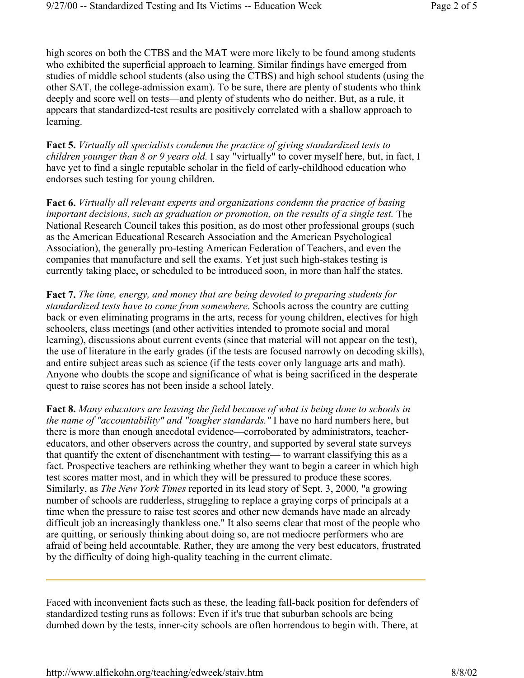high scores on both the CTBS and the MAT were more likely to be found among students who exhibited the superficial approach to learning. Similar findings have emerged from studies of middle school students (also using the CTBS) and high school students (using the other SAT, the college-admission exam). To be sure, there are plenty of students who think deeply and score well on tests—and plenty of students who do neither. But, as a rule, it appears that standardized-test results are positively correlated with a shallow approach to learning.

**Fact 5.** *Virtually all specialists condemn the practice of giving standardized tests to children younger than 8 or 9 years old.* I say "virtually" to cover myself here, but, in fact, I have yet to find a single reputable scholar in the field of early-childhood education who endorses such testing for young children.

**Fact 6.** *Virtually all relevant experts and organizations condemn the practice of basing important decisions, such as graduation or promotion, on the results of a single test.* The National Research Council takes this position, as do most other professional groups (such as the American Educational Research Association and the American Psychological Association), the generally pro-testing American Federation of Teachers, and even the companies that manufacture and sell the exams. Yet just such high-stakes testing is currently taking place, or scheduled to be introduced soon, in more than half the states.

**Fact 7.** *The time, energy, and money that are being devoted to preparing students for standardized tests have to come from somewhere*. Schools across the country are cutting back or even eliminating programs in the arts, recess for young children, electives for high schoolers, class meetings (and other activities intended to promote social and moral learning), discussions about current events (since that material will not appear on the test), the use of literature in the early grades (if the tests are focused narrowly on decoding skills), and entire subject areas such as science (if the tests cover only language arts and math). Anyone who doubts the scope and significance of what is being sacrificed in the desperate quest to raise scores has not been inside a school lately.

**Fact 8.** *Many educators are leaving the field because of what is being done to schools in the name of "accountability" and "tougher standards."* I have no hard numbers here, but there is more than enough anecdotal evidence—corroborated by administrators, teachereducators, and other observers across the country, and supported by several state surveys that quantify the extent of disenchantment with testing— to warrant classifying this as a fact. Prospective teachers are rethinking whether they want to begin a career in which high test scores matter most, and in which they will be pressured to produce these scores. Similarly, as *The New York Times* reported in its lead story of Sept. 3, 2000, "a growing number of schools are rudderless, struggling to replace a graying corps of principals at a time when the pressure to raise test scores and other new demands have made an already difficult job an increasingly thankless one." It also seems clear that most of the people who are quitting, or seriously thinking about doing so, are not mediocre performers who are afraid of being held accountable. Rather, they are among the very best educators, frustrated by the difficulty of doing high-quality teaching in the current climate.

Faced with inconvenient facts such as these, the leading fall-back position for defenders of standardized testing runs as follows: Even if it's true that suburban schools are being dumbed down by the tests, inner-city schools are often horrendous to begin with. There, at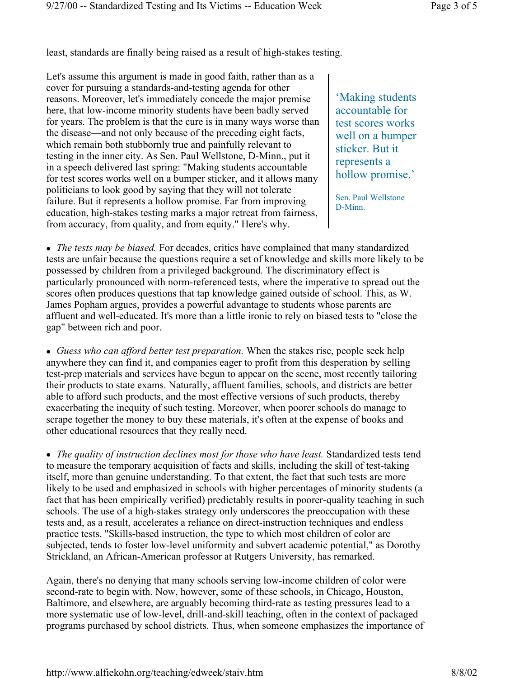least, standards are finally being raised as a result of high-stakes testing.

Let's assume this argument is made in good faith, rather than as a cover for pursuing a standards-and-testing agenda for other reasons. Moreover, let's immediately concede the major premise here, that low-income minority students have been badly served for years. The problem is that the cure is in many ways worse than the disease—and not only because of the preceding eight facts, which remain both stubbornly true and painfully relevant to testing in the inner city. As Sen. Paul Wellstone, D-Minn., put it in a speech delivered last spring: "Making students accountable for test scores works well on a bumper sticker, and it allows many politicians to look good by saying that they will not tolerate failure. But it represents a hollow promise. Far from improving education, high-stakes testing marks a major retreat from fairness, from accuracy, from quality, and from equity." Here's why.

'Making students accountable for test scores works well on a bumper sticker. But it represents a hollow promise.'

Sen. Paul Wellstone D-Minn.

• *The tests may be biased.* For decades, critics have complained that many standardized tests are unfair because the questions require a set of knowledge and skills more likely to be possessed by children from a privileged background. The discriminatory effect is particularly pronounced with norm-referenced tests, where the imperative to spread out the scores often produces questions that tap knowledge gained outside of school. This, as W. James Popham argues, provides a powerful advantage to students whose parents are affluent and well-educated. It's more than a little ironic to rely on biased tests to "close the gap" between rich and poor.

• Guess who can afford better test preparation. When the stakes rise, people seek help anywhere they can find it, and companies eager to profit from this desperation by selling test-prep materials and services have begun to appear on the scene, most recently tailoring their products to state exams. Naturally, affluent families, schools, and districts are better able to afford such products, and the most effective versions of such products, thereby exacerbating the inequity of such testing. Moreover, when poorer schools do manage to scrape together the money to buy these materials, it's often at the expense of books and other educational resources that they really need.

• *The quality of instruction declines most for those who have least.* Standardized tests tend to measure the temporary acquisition of facts and skills, including the skill of test-taking itself, more than genuine understanding. To that extent, the fact that such tests are more likely to be used and emphasized in schools with higher percentages of minority students (a fact that has been empirically verified) predictably results in poorer-quality teaching in such schools. The use of a high-stakes strategy only underscores the preoccupation with these tests and, as a result, accelerates a reliance on direct-instruction techniques and endless practice tests. "Skills-based instruction, the type to which most children of color are subjected, tends to foster low-level uniformity and subvert academic potential," as Dorothy Strickland, an African-American professor at Rutgers University, has remarked.

Again, there's no denying that many schools serving low-income children of color were second-rate to begin with. Now, however, some of these schools, in Chicago, Houston, Baltimore, and elsewhere, are arguably becoming third-rate as testing pressures lead to a more systematic use of low-level, drill-and-skill teaching, often in the context of packaged programs purchased by school districts. Thus, when someone emphasizes the importance of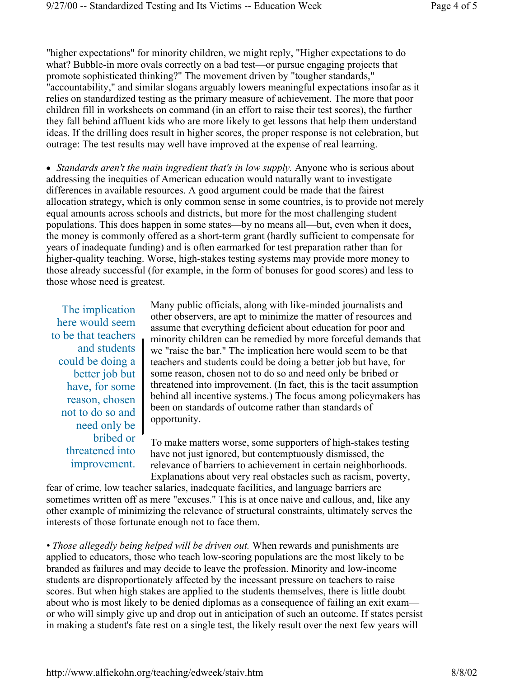"higher expectations" for minority children, we might reply, "Higher expectations to do what? Bubble-in more ovals correctly on a bad test—or pursue engaging projects that promote sophisticated thinking?" The movement driven by "tougher standards," "accountability," and similar slogans arguably lowers meaningful expectations insofar as it relies on standardized testing as the primary measure of achievement. The more that poor children fill in worksheets on command (in an effort to raise their test scores), the further they fall behind affluent kids who are more likely to get lessons that help them understand ideas. If the drilling does result in higher scores, the proper response is not celebration, but outrage: The test results may well have improved at the expense of real learning.

• *Standards aren't the main ingredient that's in low supply.* Anyone who is serious about addressing the inequities of American education would naturally want to investigate differences in available resources. A good argument could be made that the fairest allocation strategy, which is only common sense in some countries, is to provide not merely equal amounts across schools and districts, but more for the most challenging student populations. This does happen in some states—by no means all—but, even when it does, the money is commonly offered as a short-term grant (hardly sufficient to compensate for years of inadequate funding) and is often earmarked for test preparation rather than for higher-quality teaching. Worse, high-stakes testing systems may provide more money to those already successful (for example, in the form of bonuses for good scores) and less to those whose need is greatest.

The implication here would seem to be that teachers and students could be doing a better job but have, for some reason, chosen not to do so and need only be bribed or threatened into improvement.

Many public officials, along with like-minded journalists and other observers, are apt to minimize the matter of resources and assume that everything deficient about education for poor and minority children can be remedied by more forceful demands that we "raise the bar." The implication here would seem to be that teachers and students could be doing a better job but have, for some reason, chosen not to do so and need only be bribed or threatened into improvement. (In fact, this is the tacit assumption behind all incentive systems.) The focus among policymakers has been on standards of outcome rather than standards of opportunity.

To make matters worse, some supporters of high-stakes testing have not just ignored, but contemptuously dismissed, the relevance of barriers to achievement in certain neighborhoods. Explanations about very real obstacles such as racism, poverty,

fear of crime, low teacher salaries, inadequate facilities, and language barriers are sometimes written off as mere "excuses." This is at once naive and callous, and, like any other example of minimizing the relevance of structural constraints, ultimately serves the interests of those fortunate enough not to face them.

• *Those allegedly being helped will be driven out.* When rewards and punishments are applied to educators, those who teach low-scoring populations are the most likely to be branded as failures and may decide to leave the profession. Minority and low-income students are disproportionately affected by the incessant pressure on teachers to raise scores. But when high stakes are applied to the students themselves, there is little doubt about who is most likely to be denied diplomas as a consequence of failing an exit exam or who will simply give up and drop out in anticipation of such an outcome. If states persist in making a student's fate rest on a single test, the likely result over the next few years will